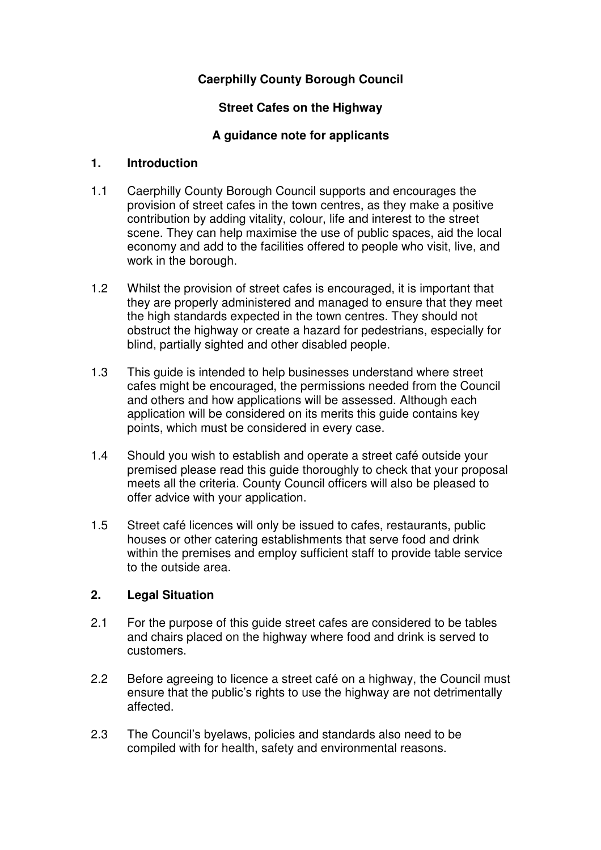# **Caerphilly County Borough Council**

## **Street Cafes on the Highway**

## **A guidance note for applicants**

#### **1. Introduction**

- 1.1 Caerphilly County Borough Council supports and encourages the provision of street cafes in the town centres, as they make a positive contribution by adding vitality, colour, life and interest to the street scene. They can help maximise the use of public spaces, aid the local economy and add to the facilities offered to people who visit, live, and work in the borough.
- 1.2 Whilst the provision of street cafes is encouraged, it is important that they are properly administered and managed to ensure that they meet the high standards expected in the town centres. They should not obstruct the highway or create a hazard for pedestrians, especially for blind, partially sighted and other disabled people.
- 1.3 This guide is intended to help businesses understand where street cafes might be encouraged, the permissions needed from the Council and others and how applications will be assessed. Although each application will be considered on its merits this guide contains key points, which must be considered in every case.
- 1.4 Should you wish to establish and operate a street café outside your premised please read this guide thoroughly to check that your proposal meets all the criteria. County Council officers will also be pleased to offer advice with your application.
- 1.5 Street café licences will only be issued to cafes, restaurants, public houses or other catering establishments that serve food and drink within the premises and employ sufficient staff to provide table service to the outside area.

## **2. Legal Situation**

- 2.1 For the purpose of this guide street cafes are considered to be tables and chairs placed on the highway where food and drink is served to customers.
- 2.2 Before agreeing to licence a street café on a highway, the Council must ensure that the public's rights to use the highway are not detrimentally affected.
- 2.3 The Council's byelaws, policies and standards also need to be compiled with for health, safety and environmental reasons.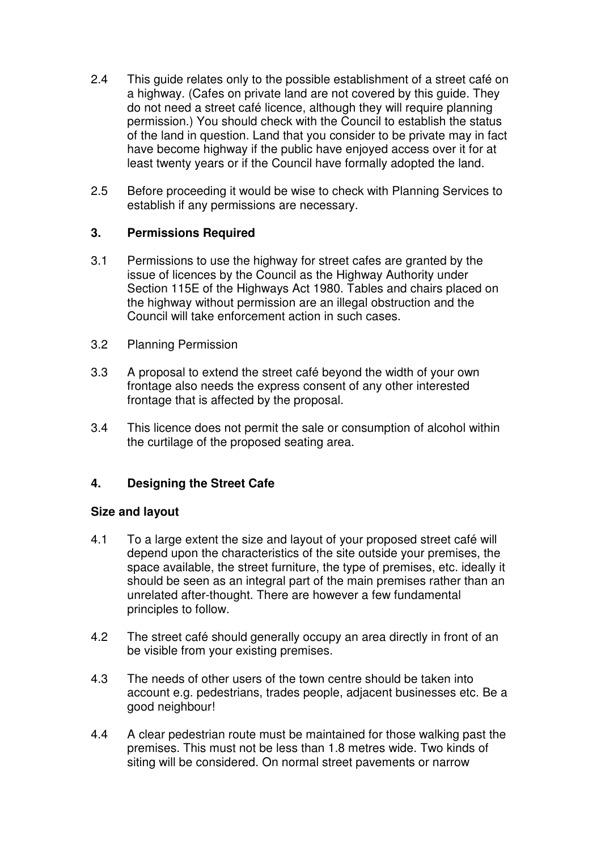- 2.4 This guide relates only to the possible establishment of a street café on a highway. (Cafes on private land are not covered by this guide. They do not need a street café licence, although they will require planning permission.) You should check with the Council to establish the status of the land in question. Land that you consider to be private may in fact have become highway if the public have enjoyed access over it for at least twenty years or if the Council have formally adopted the land.
- 2.5 Before proceeding it would be wise to check with Planning Services to establish if any permissions are necessary.

## **3. Permissions Required**

- 3.1 Permissions to use the highway for street cafes are granted by the issue of licences by the Council as the Highway Authority under Section 115E of the Highways Act 1980. Tables and chairs placed on the highway without permission are an illegal obstruction and the Council will take enforcement action in such cases.
- 3.2 Planning Permission
- 3.3 A proposal to extend the street café beyond the width of your own frontage also needs the express consent of any other interested frontage that is affected by the proposal.
- 3.4 This licence does not permit the sale or consumption of alcohol within the curtilage of the proposed seating area.

## **4. Designing the Street Cafe**

## **Size and layout**

- 4.1 To a large extent the size and layout of your proposed street café will depend upon the characteristics of the site outside your premises, the space available, the street furniture, the type of premises, etc. ideally it should be seen as an integral part of the main premises rather than an unrelated after-thought. There are however a few fundamental principles to follow.
- 4.2 The street café should generally occupy an area directly in front of an be visible from your existing premises.
- 4.3 The needs of other users of the town centre should be taken into account e.g. pedestrians, trades people, adjacent businesses etc. Be a good neighbour!
- 4.4 A clear pedestrian route must be maintained for those walking past the premises. This must not be less than 1.8 metres wide. Two kinds of siting will be considered. On normal street pavements or narrow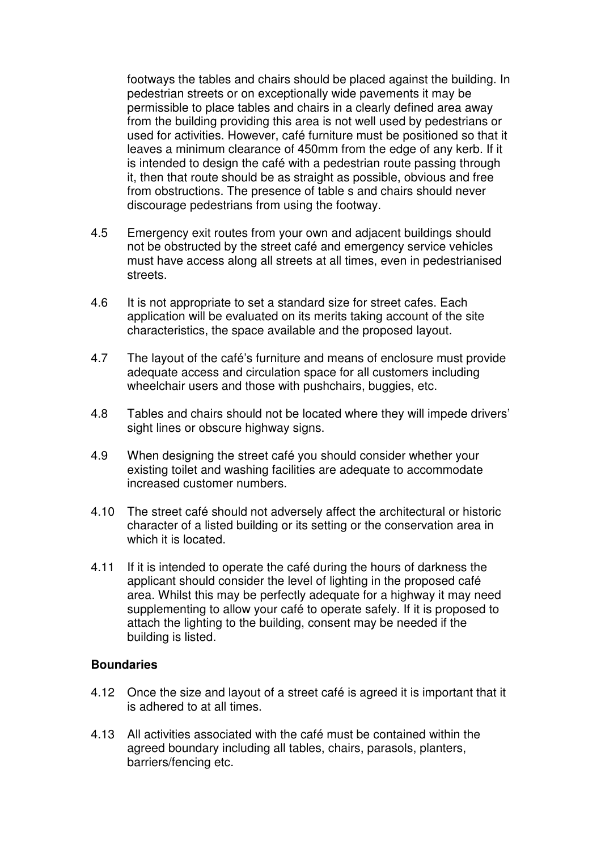footways the tables and chairs should be placed against the building. In pedestrian streets or on exceptionally wide pavements it may be permissible to place tables and chairs in a clearly defined area away from the building providing this area is not well used by pedestrians or used for activities. However, café furniture must be positioned so that it leaves a minimum clearance of 450mm from the edge of any kerb. If it is intended to design the café with a pedestrian route passing through it, then that route should be as straight as possible, obvious and free from obstructions. The presence of table s and chairs should never discourage pedestrians from using the footway.

- 4.5 Emergency exit routes from your own and adjacent buildings should not be obstructed by the street café and emergency service vehicles must have access along all streets at all times, even in pedestrianised streets.
- 4.6 It is not appropriate to set a standard size for street cafes. Each application will be evaluated on its merits taking account of the site characteristics, the space available and the proposed layout.
- 4.7 The layout of the café's furniture and means of enclosure must provide adequate access and circulation space for all customers including wheelchair users and those with pushchairs, buggies, etc.
- 4.8 Tables and chairs should not be located where they will impede drivers' sight lines or obscure highway signs.
- 4.9 When designing the street café you should consider whether your existing toilet and washing facilities are adequate to accommodate increased customer numbers.
- 4.10 The street café should not adversely affect the architectural or historic character of a listed building or its setting or the conservation area in which it is located.
- 4.11 If it is intended to operate the café during the hours of darkness the applicant should consider the level of lighting in the proposed café area. Whilst this may be perfectly adequate for a highway it may need supplementing to allow your café to operate safely. If it is proposed to attach the lighting to the building, consent may be needed if the building is listed.

#### **Boundaries**

- 4.12 Once the size and layout of a street café is agreed it is important that it is adhered to at all times.
- 4.13 All activities associated with the café must be contained within the agreed boundary including all tables, chairs, parasols, planters, barriers/fencing etc.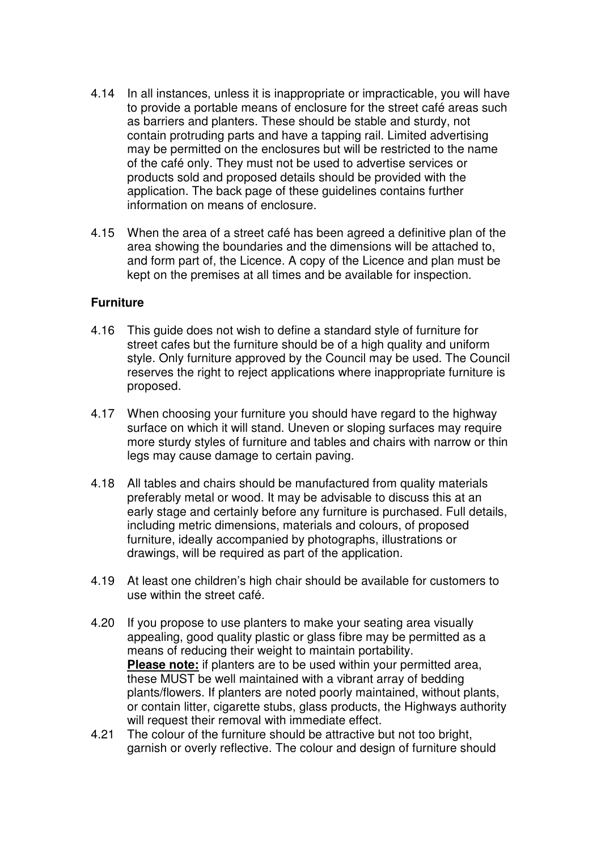- 4.14 In all instances, unless it is inappropriate or impracticable, you will have to provide a portable means of enclosure for the street café areas such as barriers and planters. These should be stable and sturdy, not contain protruding parts and have a tapping rail. Limited advertising may be permitted on the enclosures but will be restricted to the name of the café only. They must not be used to advertise services or products sold and proposed details should be provided with the application. The back page of these guidelines contains further information on means of enclosure.
- 4.15 When the area of a street café has been agreed a definitive plan of the area showing the boundaries and the dimensions will be attached to, and form part of, the Licence. A copy of the Licence and plan must be kept on the premises at all times and be available for inspection.

#### **Furniture**

- 4.16 This guide does not wish to define a standard style of furniture for street cafes but the furniture should be of a high quality and uniform style. Only furniture approved by the Council may be used. The Council reserves the right to reject applications where inappropriate furniture is proposed.
- 4.17 When choosing your furniture you should have regard to the highway surface on which it will stand. Uneven or sloping surfaces may require more sturdy styles of furniture and tables and chairs with narrow or thin legs may cause damage to certain paving.
- 4.18 All tables and chairs should be manufactured from quality materials preferably metal or wood. It may be advisable to discuss this at an early stage and certainly before any furniture is purchased. Full details, including metric dimensions, materials and colours, of proposed furniture, ideally accompanied by photographs, illustrations or drawings, will be required as part of the application.
- 4.19 At least one children's high chair should be available for customers to use within the street café.
- 4.20 If you propose to use planters to make your seating area visually appealing, good quality plastic or glass fibre may be permitted as a means of reducing their weight to maintain portability. **Please note:** if planters are to be used within your permitted area, these MUST be well maintained with a vibrant array of bedding plants/flowers. If planters are noted poorly maintained, without plants, or contain litter, cigarette stubs, glass products, the Highways authority will request their removal with immediate effect.
- 4.21 The colour of the furniture should be attractive but not too bright, garnish or overly reflective. The colour and design of furniture should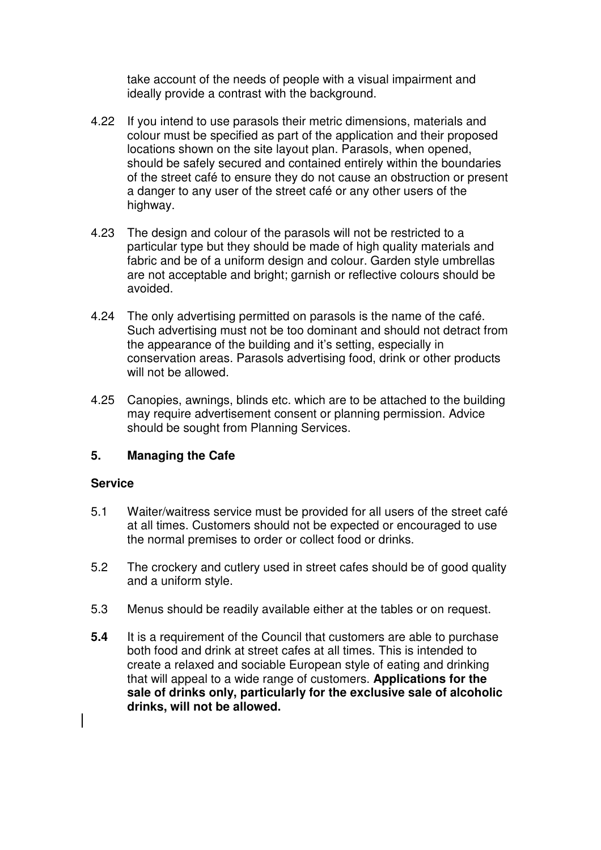take account of the needs of people with a visual impairment and ideally provide a contrast with the background.

- 4.22 If you intend to use parasols their metric dimensions, materials and colour must be specified as part of the application and their proposed locations shown on the site layout plan. Parasols, when opened, should be safely secured and contained entirely within the boundaries of the street café to ensure they do not cause an obstruction or present a danger to any user of the street café or any other users of the highway.
- 4.23 The design and colour of the parasols will not be restricted to a particular type but they should be made of high quality materials and fabric and be of a uniform design and colour. Garden style umbrellas are not acceptable and bright; garnish or reflective colours should be avoided.
- 4.24 The only advertising permitted on parasols is the name of the café. Such advertising must not be too dominant and should not detract from the appearance of the building and it's setting, especially in conservation areas. Parasols advertising food, drink or other products will not be allowed.
- 4.25 Canopies, awnings, blinds etc. which are to be attached to the building may require advertisement consent or planning permission. Advice should be sought from Planning Services.

## **5. Managing the Cafe**

#### **Service**

- 5.1 Waiter/waitress service must be provided for all users of the street café at all times. Customers should not be expected or encouraged to use the normal premises to order or collect food or drinks.
- 5.2 The crockery and cutlery used in street cafes should be of good quality and a uniform style.
- 5.3 Menus should be readily available either at the tables or on request.
- **5.4** It is a requirement of the Council that customers are able to purchase both food and drink at street cafes at all times. This is intended to create a relaxed and sociable European style of eating and drinking that will appeal to a wide range of customers. **Applications for the sale of drinks only, particularly for the exclusive sale of alcoholic drinks, will not be allowed.**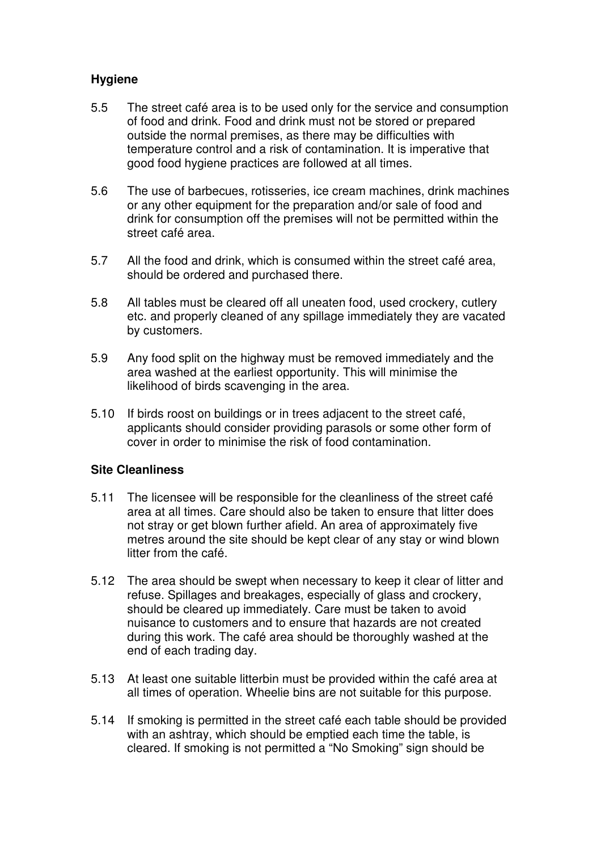## **Hygiene**

- 5.5 The street café area is to be used only for the service and consumption of food and drink. Food and drink must not be stored or prepared outside the normal premises, as there may be difficulties with temperature control and a risk of contamination. It is imperative that good food hygiene practices are followed at all times.
- 5.6 The use of barbecues, rotisseries, ice cream machines, drink machines or any other equipment for the preparation and/or sale of food and drink for consumption off the premises will not be permitted within the street café area.
- 5.7 All the food and drink, which is consumed within the street café area, should be ordered and purchased there.
- 5.8 All tables must be cleared off all uneaten food, used crockery, cutlery etc. and properly cleaned of any spillage immediately they are vacated by customers.
- 5.9 Any food split on the highway must be removed immediately and the area washed at the earliest opportunity. This will minimise the likelihood of birds scavenging in the area.
- 5.10 If birds roost on buildings or in trees adjacent to the street café, applicants should consider providing parasols or some other form of cover in order to minimise the risk of food contamination.

## **Site Cleanliness**

- 5.11 The licensee will be responsible for the cleanliness of the street café area at all times. Care should also be taken to ensure that litter does not stray or get blown further afield. An area of approximately five metres around the site should be kept clear of any stay or wind blown litter from the café.
- 5.12 The area should be swept when necessary to keep it clear of litter and refuse. Spillages and breakages, especially of glass and crockery, should be cleared up immediately. Care must be taken to avoid nuisance to customers and to ensure that hazards are not created during this work. The café area should be thoroughly washed at the end of each trading day.
- 5.13 At least one suitable litterbin must be provided within the café area at all times of operation. Wheelie bins are not suitable for this purpose.
- 5.14 If smoking is permitted in the street café each table should be provided with an ashtray, which should be emptied each time the table, is cleared. If smoking is not permitted a "No Smoking" sign should be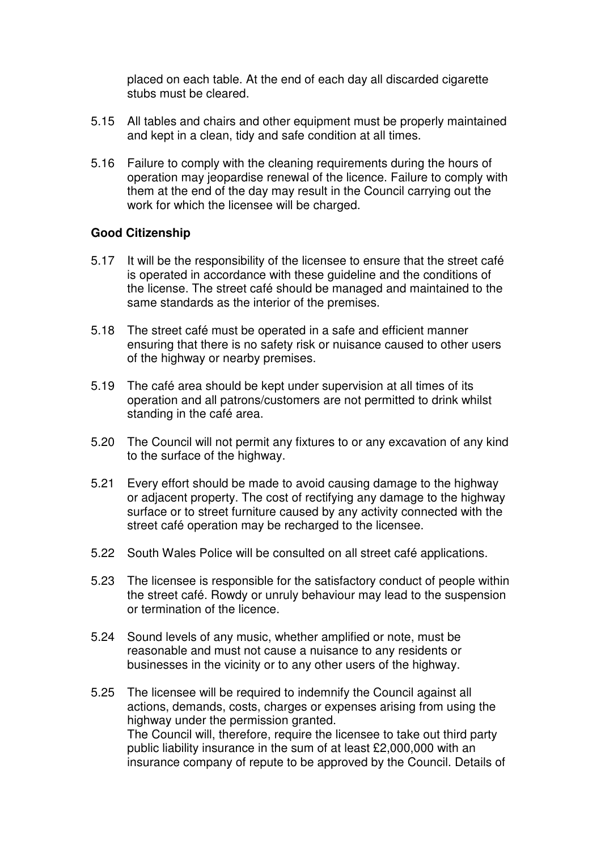placed on each table. At the end of each day all discarded cigarette stubs must be cleared.

- 5.15 All tables and chairs and other equipment must be properly maintained and kept in a clean, tidy and safe condition at all times.
- 5.16 Failure to comply with the cleaning requirements during the hours of operation may jeopardise renewal of the licence. Failure to comply with them at the end of the day may result in the Council carrying out the work for which the licensee will be charged.

#### **Good Citizenship**

- 5.17 It will be the responsibility of the licensee to ensure that the street café is operated in accordance with these guideline and the conditions of the license. The street café should be managed and maintained to the same standards as the interior of the premises.
- 5.18 The street café must be operated in a safe and efficient manner ensuring that there is no safety risk or nuisance caused to other users of the highway or nearby premises.
- 5.19 The café area should be kept under supervision at all times of its operation and all patrons/customers are not permitted to drink whilst standing in the café area.
- 5.20 The Council will not permit any fixtures to or any excavation of any kind to the surface of the highway.
- 5.21 Every effort should be made to avoid causing damage to the highway or adjacent property. The cost of rectifying any damage to the highway surface or to street furniture caused by any activity connected with the street café operation may be recharged to the licensee.
- 5.22 South Wales Police will be consulted on all street café applications.
- 5.23 The licensee is responsible for the satisfactory conduct of people within the street café. Rowdy or unruly behaviour may lead to the suspension or termination of the licence.
- 5.24 Sound levels of any music, whether amplified or note, must be reasonable and must not cause a nuisance to any residents or businesses in the vicinity or to any other users of the highway.
- 5.25 The licensee will be required to indemnify the Council against all actions, demands, costs, charges or expenses arising from using the highway under the permission granted. The Council will, therefore, require the licensee to take out third party public liability insurance in the sum of at least £2,000,000 with an insurance company of repute to be approved by the Council. Details of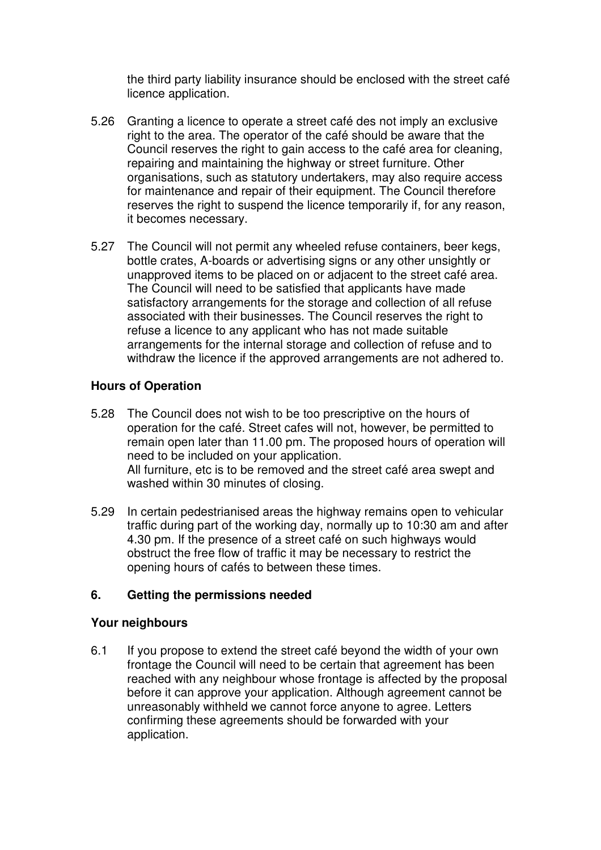the third party liability insurance should be enclosed with the street café licence application.

- 5.26 Granting a licence to operate a street café des not imply an exclusive right to the area. The operator of the café should be aware that the Council reserves the right to gain access to the café area for cleaning, repairing and maintaining the highway or street furniture. Other organisations, such as statutory undertakers, may also require access for maintenance and repair of their equipment. The Council therefore reserves the right to suspend the licence temporarily if, for any reason, it becomes necessary.
- 5.27 The Council will not permit any wheeled refuse containers, beer kegs, bottle crates, A-boards or advertising signs or any other unsightly or unapproved items to be placed on or adjacent to the street café area. The Council will need to be satisfied that applicants have made satisfactory arrangements for the storage and collection of all refuse associated with their businesses. The Council reserves the right to refuse a licence to any applicant who has not made suitable arrangements for the internal storage and collection of refuse and to withdraw the licence if the approved arrangements are not adhered to.

#### **Hours of Operation**

- 5.28 The Council does not wish to be too prescriptive on the hours of operation for the café. Street cafes will not, however, be permitted to remain open later than 11.00 pm. The proposed hours of operation will need to be included on your application. All furniture, etc is to be removed and the street café area swept and washed within 30 minutes of closing.
- 5.29 In certain pedestrianised areas the highway remains open to vehicular traffic during part of the working day, normally up to 10:30 am and after 4.30 pm. If the presence of a street café on such highways would obstruct the free flow of traffic it may be necessary to restrict the opening hours of cafés to between these times.

#### **6. Getting the permissions needed**

#### **Your neighbours**

6.1 If you propose to extend the street café beyond the width of your own frontage the Council will need to be certain that agreement has been reached with any neighbour whose frontage is affected by the proposal before it can approve your application. Although agreement cannot be unreasonably withheld we cannot force anyone to agree. Letters confirming these agreements should be forwarded with your application.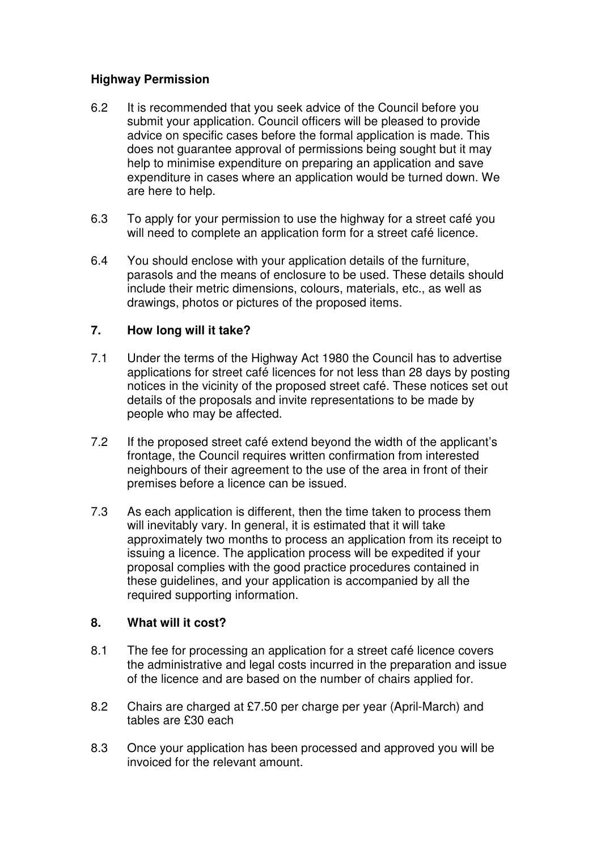## **Highway Permission**

- 6.2 It is recommended that you seek advice of the Council before you submit your application. Council officers will be pleased to provide advice on specific cases before the formal application is made. This does not guarantee approval of permissions being sought but it may help to minimise expenditure on preparing an application and save expenditure in cases where an application would be turned down. We are here to help.
- 6.3 To apply for your permission to use the highway for a street café you will need to complete an application form for a street café licence.
- 6.4 You should enclose with your application details of the furniture, parasols and the means of enclosure to be used. These details should include their metric dimensions, colours, materials, etc., as well as drawings, photos or pictures of the proposed items.

## **7. How long will it take?**

- 7.1 Under the terms of the Highway Act 1980 the Council has to advertise applications for street café licences for not less than 28 days by posting notices in the vicinity of the proposed street café. These notices set out details of the proposals and invite representations to be made by people who may be affected.
- 7.2 If the proposed street café extend beyond the width of the applicant's frontage, the Council requires written confirmation from interested neighbours of their agreement to the use of the area in front of their premises before a licence can be issued.
- 7.3 As each application is different, then the time taken to process them will inevitably vary. In general, it is estimated that it will take approximately two months to process an application from its receipt to issuing a licence. The application process will be expedited if your proposal complies with the good practice procedures contained in these guidelines, and your application is accompanied by all the required supporting information.

## **8. What will it cost?**

- 8.1 The fee for processing an application for a street café licence covers the administrative and legal costs incurred in the preparation and issue of the licence and are based on the number of chairs applied for.
- 8.2 Chairs are charged at £7.50 per charge per year (April-March) and tables are £30 each
- 8.3 Once your application has been processed and approved you will be invoiced for the relevant amount.